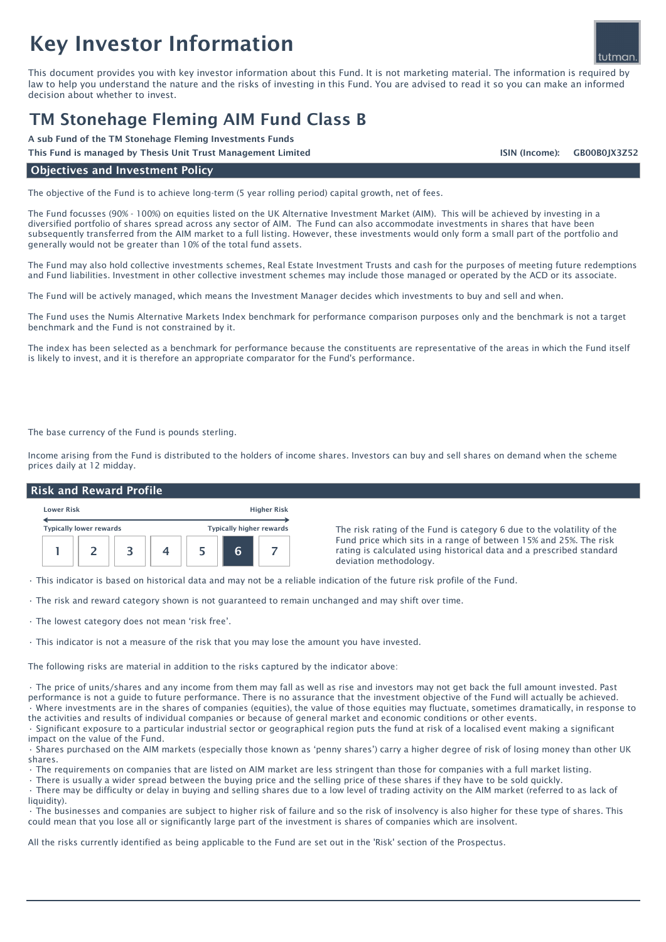# Key Investor Information

This document provides you with key investor information about this Fund. It is not marketing material. The information is required by law to help you understand the nature and the risks of investing in this Fund. You are advised to read it so you can make an informed decision about whether to invest.

# TM Stonehage Fleming AIM Fund Class B

A sub Fund of the TM Stonehage Fleming Investments Funds

This Fund is managed by Thesis Unit Trust Management Limited GB00B0JX3Z52

#### Objectives and Investment Policy

The objective of the Fund is to achieve long-term (5 year rolling period) capital growth, net of fees.

The Fund focusses (90% - 100%) on equities listed on the UK Alternative Investment Market (AIM). This will be achieved by investing in a diversified portfolio of shares spread across any sector of AIM. The Fund can also accommodate investments in shares that have been subsequently transferred from the AIM market to a full listing. However, these investments would only form a small part of the portfolio and generally would not be greater than 10% of the total fund assets.

The Fund may also hold collective investments schemes, Real Estate Investment Trusts and cash for the purposes of meeting future redemptions and Fund liabilities. Investment in other collective investment schemes may include those managed or operated by the ACD or its associate.

The Fund will be actively managed, which means the Investment Manager decides which investments to buy and sell and when.

The Fund uses the Numis Alternative Markets Index benchmark for performance comparison purposes only and the benchmark is not a target benchmark and the Fund is not constrained by it.

The index has been selected as a benchmark for performance because the constituents are representative of the areas in which the Fund itself is likely to invest, and it is therefore an appropriate comparator for the Fund's performance.

The base currency of the Fund is pounds sterling.

Income arising from the Fund is distributed to the holders of income shares. Investors can buy and sell shares on demand when the scheme prices daily at 12 midday.

## Risk and Reward Profile



The risk rating of the Fund is category 6 due to the volatility of the Fund price which sits in a range of between 15% and 25%. The risk rating is calculated using historical data and a prescribed standard deviation methodology.

• This indicator is based on historical data and may not be a reliable indication of the future risk profile of the Fund.

• The risk and reward category shown is not guaranteed to remain unchanged and may shift over time.

• The lowest category does not mean 'risk free'.

• This indicator is not a measure of the risk that you may lose the amount you have invested.

The following risks are material in addition to the risks captured by the indicator above:

• The price of units/shares and any income from them may fall as well as rise and investors may not get back the full amount invested. Past performance is not a guide to future performance. There is no assurance that the investment objective of the Fund will actually be achieved. • Where investments are in the shares of companies (equities), the value of those equities may fluctuate, sometimes dramatically, in response to

the activities and results of individual companies or because of general market and economic conditions or other events. • Significant exposure to a particular industrial sector or geographical region puts the fund at risk of a localised event making a significant impact on the value of the Fund.

• Shares purchased on the AIM markets (especially those known as 'penny shares') carry a higher degree of risk of losing money than other UK shares.

• The requirements on companies that are listed on AIM market are less stringent than those for companies with a full market listing.

• There is usually a wider spread between the buying price and the selling price of these shares if they have to be sold quickly.

• There may be difficulty or delay in buying and selling shares due to a low level of trading activity on the AIM market (referred to as lack of liquidity).

• The businesses and companies are subject to higher risk of failure and so the risk of insolvency is also higher for these type of shares. This could mean that you lose all or significantly large part of the investment is shares of companies which are insolvent.

All the risks currently identified as being applicable to the Fund are set out in the 'Risk' section of the Prospectus.



ISIN (Income):